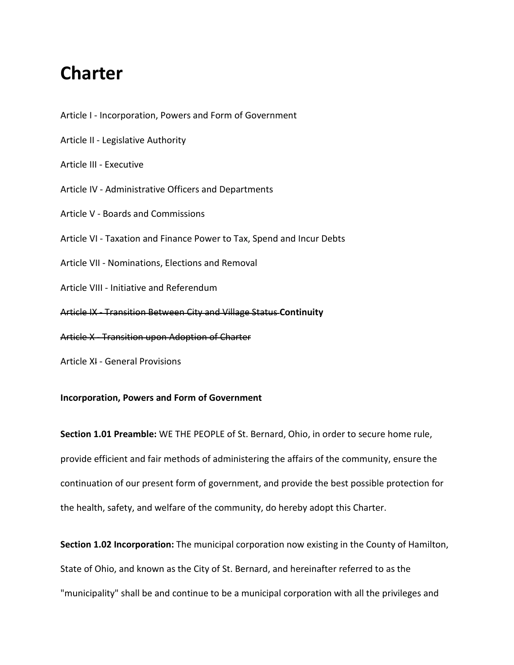# **Charter**

Article I - [Incorporation, Powers and Form of Government](https://www.cityofstbernard.org/government/charter#article-1) Article II - [Legislative Authority](https://www.cityofstbernard.org/government/charter#article-2) [Article III -](https://www.cityofstbernard.org/government/charter#article-3) Executive Article IV - [Administrative Officers and Departments](https://www.cityofstbernard.org/government/charter#article-4) Article V - [Boards and Commissions](https://www.cityofstbernard.org/government/charter#article-5) Article VI - [Taxation and Finance Power to Tax, Spend and Incur Debts](https://www.cityofstbernard.org/government/charter#article-6) Article VII - [Nominations, Elections and Removal](https://www.cityofstbernard.org/government/charter#article-7) Article VIII - [Initiative and Referendum](https://www.cityofstbernard.org/government/charter#article-8) Article IX - [Transition Between City and Village Status](https://www.cityofstbernard.org/government/charter#article-9) **Continuity** Article X - [Transition upon Adoption of Charter](https://www.cityofstbernard.org/government/charter#article-10) Article XI - [General Provisions](https://www.cityofstbernard.org/government/charter#article-11)

# **Incorporation, Powers and Form of Government**

**Section 1.01 Preamble:** WE THE PEOPLE of St. Bernard, Ohio, in order to secure home rule, provide efficient and fair methods of administering the affairs of the community, ensure the continuation of our present form of government, and provide the best possible protection for the health, safety, and welfare of the community, do hereby adopt this Charter.

**Section 1.02 Incorporation:** The municipal corporation now existing in the County of Hamilton, State of Ohio, and known as the City of St. Bernard, and hereinafter referred to as the "municipality" shall be and continue to be a municipal corporation with all the privileges and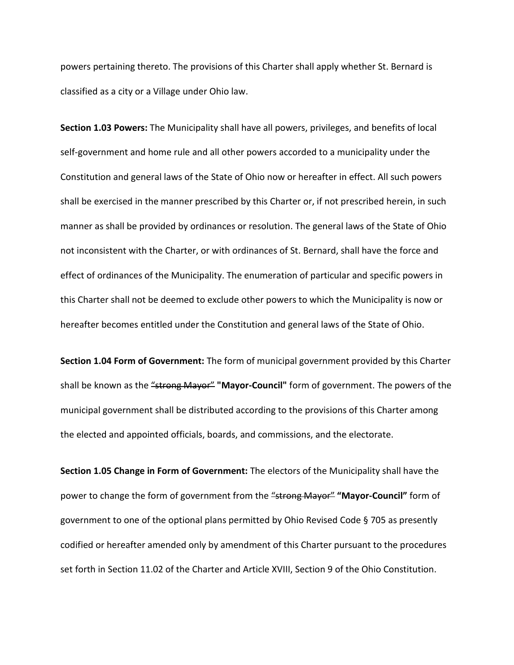powers pertaining thereto. The provisions of this Charter shall apply whether St. Bernard is classified as a city or a Village under Ohio law.

**Section 1.03 Powers:** The Municipality shall have all powers, privileges, and benefits of local self-government and home rule and all other powers accorded to a municipality under the Constitution and general laws of the State of Ohio now or hereafter in effect. All such powers shall be exercised in the manner prescribed by this Charter or, if not prescribed herein, in such manner as shall be provided by ordinances or resolution. The general laws of the State of Ohio not inconsistent with the Charter, or with ordinances of St. Bernard, shall have the force and effect of ordinances of the Municipality. The enumeration of particular and specific powers in this Charter shall not be deemed to exclude other powers to which the Municipality is now or hereafter becomes entitled under the Constitution and general laws of the State of Ohio.

**Section 1.04 Form of Government:** The form of municipal government provided by this Charter shall be known as the "strong Mayor" **"Mayor-Council"** form of government. The powers of the municipal government shall be distributed according to the provisions of this Charter among the elected and appointed officials, boards, and commissions, and the electorate.

**Section 1.05 Change in Form of Government:** The electors of the Municipality shall have the power to change the form of government from the "strong Mayor" "Mayor-Council" form of government to one of the optional plans permitted by Ohio Revised Code § 705 as presently codified or hereafter amended only by amendment of this Charter pursuant to the procedures set forth in Section 11.02 of the Charter and Article XVIII, Section 9 of the Ohio Constitution.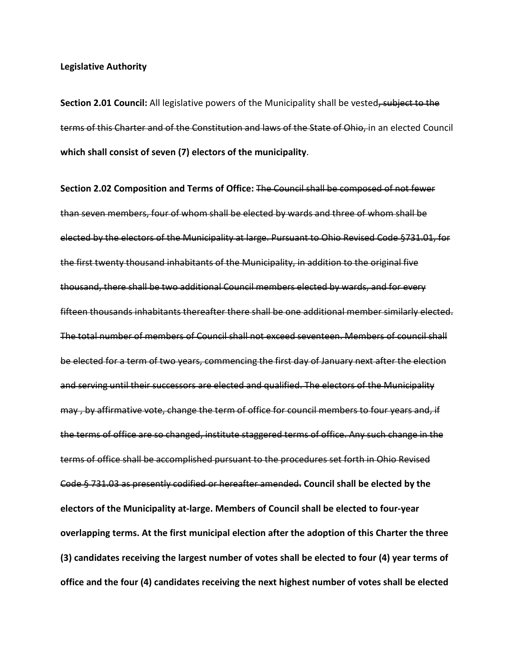**Section 2.01 Council:** All legislative powers of the Municipality shall be vested, subject to the terms of this Charter and of the Constitution and laws of the State of Ohio, in an elected Council **which shall consist of seven (7) electors of the municipality**.

**Section 2.02 Composition and Terms of Office:** The Council shall be composed of not fewer than seven members, four of whom shall be elected by wards and three of whom shall be elected by the electors of the Municipality at large. Pursuant to Ohio Revised Code §731.01, for the first twenty thousand inhabitants of the Municipality, in addition to the original five thousand, there shall be two additional Council members elected by wards, and for every fifteen thousands inhabitants thereafter there shall be one additional member similarly elected. The total number of members of Council shall not exceed seventeen. Members of council shall be elected for a term of two years, commencing the first day of January next after the election and serving until their successors are elected and qualified. The electors of the Municipality may , by affirmative vote, change the term of office for council members to four years and, if the terms of office are so changed, institute staggered terms of office. Any such change in the terms of office shall be accomplished pursuant to the procedures set forth in Ohio Revised Code § 731.03 as presently codified or hereafter amended. **Council shall be elected by the electors of the Municipality at-large. Members of Council shall be elected to four-year overlapping terms. At the first municipal election after the adoption of this Charter the three (3) candidates receiving the largest number of votes shall be elected to four (4) year terms of office and the four (4) candidates receiving the next highest number of votes shall be elected**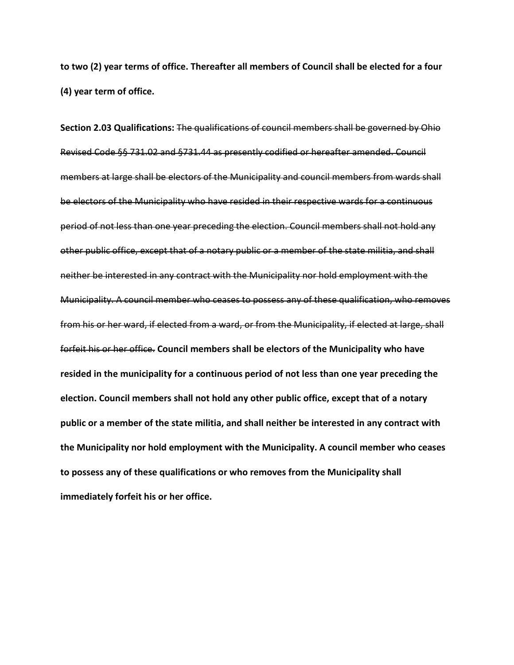**to two (2) year terms of office. Thereafter all members of Council shall be elected for a four (4) year term of office.**

**Section 2.03 Qualifications:** The qualifications of council members shall be governed by Ohio Revised Code §§ 731.02 and §731.44 as presently codified or hereafter amended. Council members at large shall be electors of the Municipality and council members from wards shall be electors of the Municipality who have resided in their respective wards for a continuous period of not less than one year preceding the election. Council members shall not hold any other public office, except that of a notary public or a member of the state militia, and shall neither be interested in any contract with the Municipality nor hold employment with the Municipality. A council member who ceases to possess any of these qualification, who removes from his or her ward, if elected from a ward, or from the Municipality, if elected at large, shall forfeit his or her office. **Council members shall be electors of the Municipality who have resided in the municipality for a continuous period of not less than one year preceding the election. Council members shall not hold any other public office, except that of a notary public or a member of the state militia, and shall neither be interested in any contract with the Municipality nor hold employment with the Municipality. A council member who ceases to possess any of these qualifications or who removes from the Municipality shall immediately forfeit his or her office.**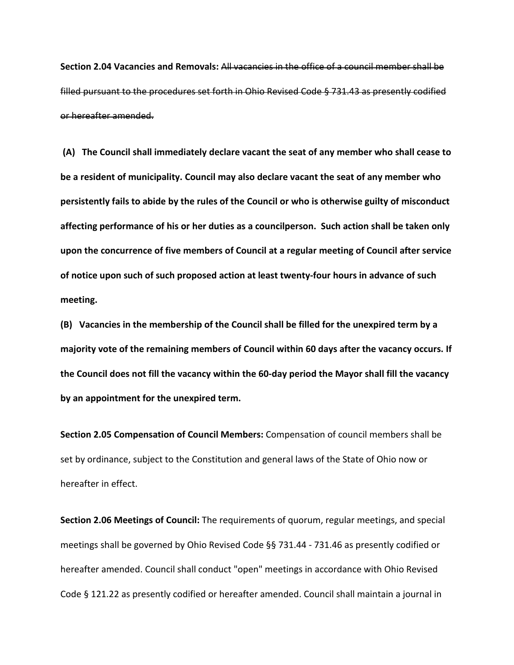**Section 2.04 Vacancies and Removals:** All vacancies in the office of a council member shall be filled pursuant to the procedures set forth in Ohio Revised Code § 731.43 as presently codified or hereafter amended.

**(A) The Council shall immediately declare vacant the seat of any member who shall cease to be a resident of municipality. Council may also declare vacant the seat of any member who persistently fails to abide by the rules of the Council or who is otherwise guilty of misconduct affecting performance of his or her duties as a councilperson. Such action shall be taken only upon the concurrence of five members of Council at a regular meeting of Council after service of notice upon such of such proposed action at least twenty-four hours in advance of such meeting.**

**(B) Vacancies in the membership of the Council shall be filled for the unexpired term by a majority vote of the remaining members of Council within 60 days after the vacancy occurs. If the Council does not fill the vacancy within the 60-day period the Mayor shall fill the vacancy by an appointment for the unexpired term.**

**Section 2.05 Compensation of Council Members:** Compensation of council members shall be set by ordinance, subject to the Constitution and general laws of the State of Ohio now or hereafter in effect.

**Section 2.06 Meetings of Council:** The requirements of quorum, regular meetings, and special meetings shall be governed by Ohio Revised Code §§ 731.44 - 731.46 as presently codified or hereafter amended. Council shall conduct "open" meetings in accordance with Ohio Revised Code § 121.22 as presently codified or hereafter amended. Council shall maintain a journal in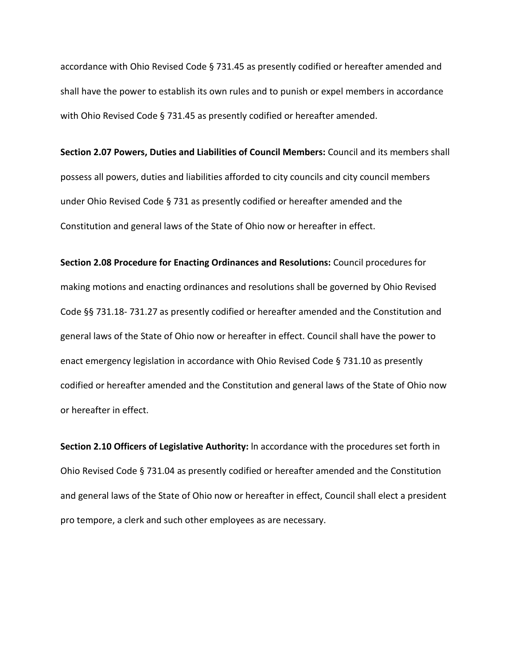accordance with Ohio Revised Code § 731.45 as presently codified or hereafter amended and shall have the power to establish its own rules and to punish or expel members in accordance with Ohio Revised Code § 731.45 as presently codified or hereafter amended.

**Section 2.07 Powers, Duties and Liabilities of Council Members:** Council and its members shall possess all powers, duties and liabilities afforded to city councils and city council members under Ohio Revised Code § 731 as presently codified or hereafter amended and the Constitution and general laws of the State of Ohio now or hereafter in effect.

**Section 2.08 Procedure for Enacting Ordinances and Resolutions:** Council procedures for making motions and enacting ordinances and resolutions shall be governed by Ohio Revised Code §§ 731.18- 731.27 as presently codified or hereafter amended and the Constitution and general laws of the State of Ohio now or hereafter in effect. Council shall have the power to enact emergency legislation in accordance with Ohio Revised Code § 731.10 as presently codified or hereafter amended and the Constitution and general laws of the State of Ohio now or hereafter in effect.

**Section 2.10 Officers of Legislative Authority:** ln accordance with the procedures set forth in Ohio Revised Code § 731.04 as presently codified or hereafter amended and the Constitution and general laws of the State of Ohio now or hereafter in effect, Council shall elect a president pro tempore, a clerk and such other employees as are necessary.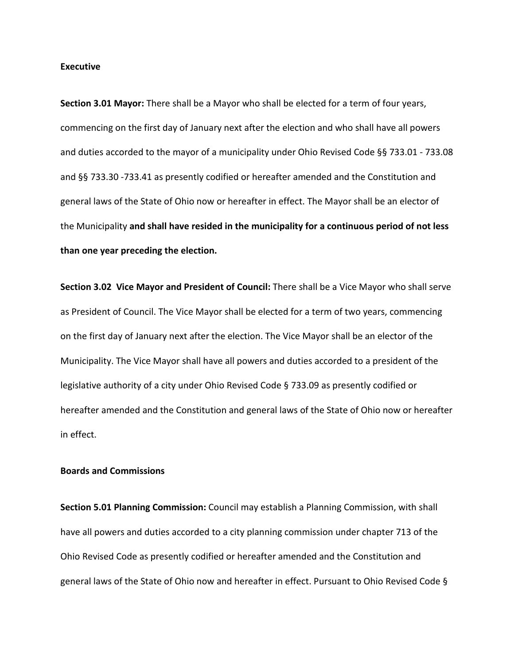#### **Executive**

**Section 3.01 Mayor:** There shall be a Mayor who shall be elected for a term of four years, commencing on the first day of January next after the election and who shall have all powers and duties accorded to the mayor of a municipality under Ohio Revised Code §§ 733.01 - 733.08 and §§ 733.30 -733.41 as presently codified or hereafter amended and the Constitution and general laws of the State of Ohio now or hereafter in effect. The Mayor shall be an elector of the Municipality **and shall have resided in the municipality for a continuous period of not less than one year preceding the election.**

**Section 3.02 Vice Mayor and President of Council:** There shall be a Vice Mayor who shall serve as President of Council. The Vice Mayor shall be elected for a term of two years, commencing on the first day of January next after the election. The Vice Mayor shall be an elector of the Municipality. The Vice Mayor shall have all powers and duties accorded to a president of the legislative authority of a city under Ohio Revised Code § 733.09 as presently codified or hereafter amended and the Constitution and general laws of the State of Ohio now or hereafter in effect.

# **Boards and Commissions**

**Section 5.01 Planning Commission:** Council may establish a Planning Commission, with shall have all powers and duties accorded to a city planning commission under chapter 713 of the Ohio Revised Code as presently codified or hereafter amended and the Constitution and general laws of the State of Ohio now and hereafter in effect. Pursuant to Ohio Revised Code §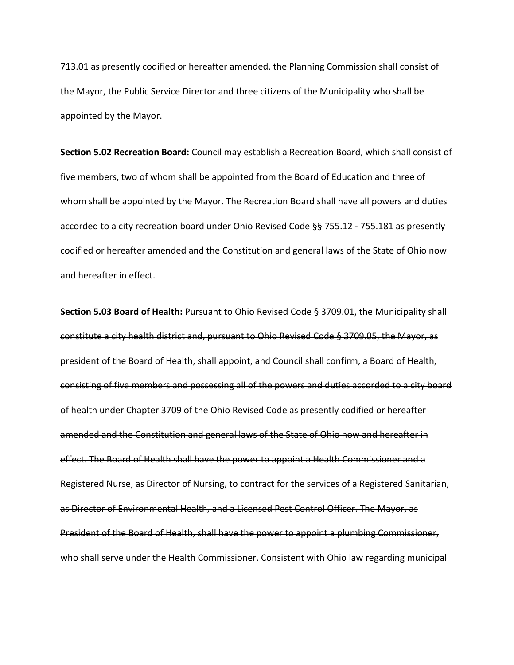713.01 as presently codified or hereafter amended, the Planning Commission shall consist of the Mayor, the Public Service Director and three citizens of the Municipality who shall be appointed by the Mayor.

**Section 5.02 Recreation Board:** Council may establish a Recreation Board, which shall consist of five members, two of whom shall be appointed from the Board of Education and three of whom shall be appointed by the Mayor. The Recreation Board shall have all powers and duties accorded to a city recreation board under Ohio Revised Code §§ 755.12 - 755.181 as presently codified or hereafter amended and the Constitution and general laws of the State of Ohio now and hereafter in effect.

**Section 5.03 Board of Health:** Pursuant to Ohio Revised Code § 3709.01, the Municipality shall constitute a city health district and, pursuant to Ohio Revised Code § 3709.05, the Mayor, as president of the Board of Health, shall appoint, and Council shall confirm, a Board of Health, consisting of five members and possessing all of the powers and duties accorded to a city board of health under Chapter 3709 of the Ohio Revised Code as presently codified or hereafter amended and the Constitution and general laws of the State of Ohio now and hereafter in effect. The Board of Health shall have the power to appoint a Health Commissioner and a Registered Nurse, as Director of Nursing, to contract for the services of a Registered Sanitarian, as Director of Environmental Health, and a Licensed Pest Control Officer. The Mayor, as President of the Board of Health, shall have the power to appoint a plumbing Commissioner, who shall serve under the Health Commissioner. Consistent with Ohio law regarding municipal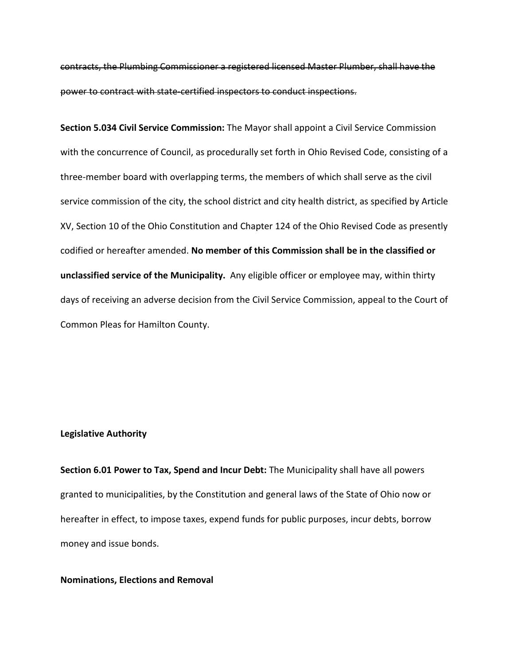contracts, the Plumbing Commissioner a registered licensed Master Plumber, shall have the power to contract with state-certified inspectors to conduct inspections.

**Section 5.034 Civil Service Commission:** The Mayor shall appoint a Civil Service Commission with the concurrence of Council, as procedurally set forth in Ohio Revised Code, consisting of a three-member board with overlapping terms, the members of which shall serve as the civil service commission of the city, the school district and city health district, as specified by Article XV, Section 10 of the Ohio Constitution and Chapter 124 of the Ohio Revised Code as presently codified or hereafter amended. **No member of this Commission shall be in the classified or unclassified service of the Municipality.** Any eligible officer or employee may, within thirty days of receiving an adverse decision from the Civil Service Commission, appeal to the Court of Common Pleas for Hamilton County.

#### **Legislative Authority**

**Section 6.01 Power to Tax, Spend and Incur Debt:** The Municipality shall have all powers granted to municipalities, by the Constitution and general laws of the State of Ohio now or hereafter in effect, to impose taxes, expend funds for public purposes, incur debts, borrow money and issue bonds.

### **Nominations, Elections and Removal**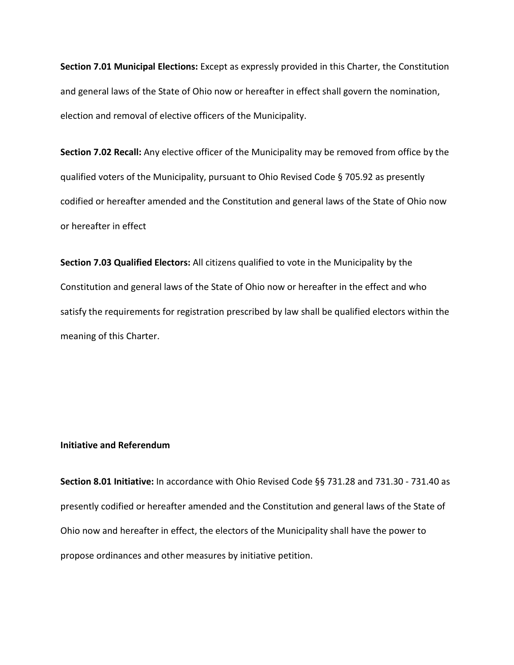**Section 7.01 Municipal Elections:** Except as expressly provided in this Charter, the Constitution and general laws of the State of Ohio now or hereafter in effect shall govern the nomination, election and removal of elective officers of the Municipality.

**Section 7.02 Recall:** Any elective officer of the Municipality may be removed from office by the qualified voters of the Municipality, pursuant to Ohio Revised Code § 705.92 as presently codified or hereafter amended and the Constitution and general laws of the State of Ohio now or hereafter in effect

**Section 7.03 Qualified Electors:** All citizens qualified to vote in the Municipality by the Constitution and general laws of the State of Ohio now or hereafter in the effect and who satisfy the requirements for registration prescribed by law shall be qualified electors within the meaning of this Charter.

# **Initiative and Referendum**

**Section 8.01 Initiative:** In accordance with Ohio Revised Code §§ 731.28 and 731.30 - 731.40 as presently codified or hereafter amended and the Constitution and general laws of the State of Ohio now and hereafter in effect, the electors of the Municipality shall have the power to propose ordinances and other measures by initiative petition.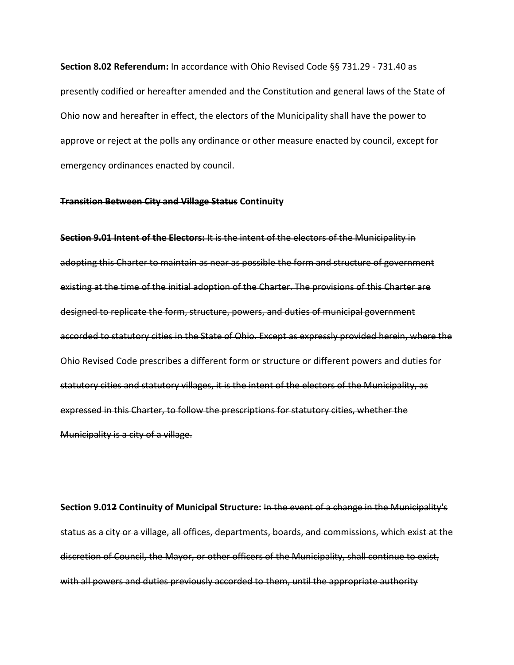**Section 8.02 Referendum:** In accordance with Ohio Revised Code §§ 731.29 - 731.40 as presently codified or hereafter amended and the Constitution and general laws of the State of Ohio now and hereafter in effect, the electors of the Municipality shall have the power to approve or reject at the polls any ordinance or other measure enacted by council, except for emergency ordinances enacted by council.

#### **Transition Between City and Village Status Continuity**

**Section 9.01 Intent of the Electors:** It is the intent of the electors of the Municipality in adopting this Charter to maintain as near as possible the form and structure of government existing at the time of the initial adoption of the Charter. The provisions of this Charter are designed to replicate the form, structure, powers, and duties of municipal government accorded to statutory cities in the State of Ohio. Except as expressly provided herein, where the Ohio Revised Code prescribes a different form or structure or different powers and duties for statutory cities and statutory villages, it is the intent of the electors of the Municipality, as expressed in this Charter, to follow the prescriptions for statutory cities, whether the Municipality is a city of a village.

**Section 9.012 Continuity of Municipal Structure:** In the event of a change in the Municipality's status as a city or a village, all offices, departments, boards, and commissions, which exist at the discretion of Council, the Mayor, or other officers of the Municipality, shall continue to exist, with all powers and duties previously accorded to them, until the appropriate authority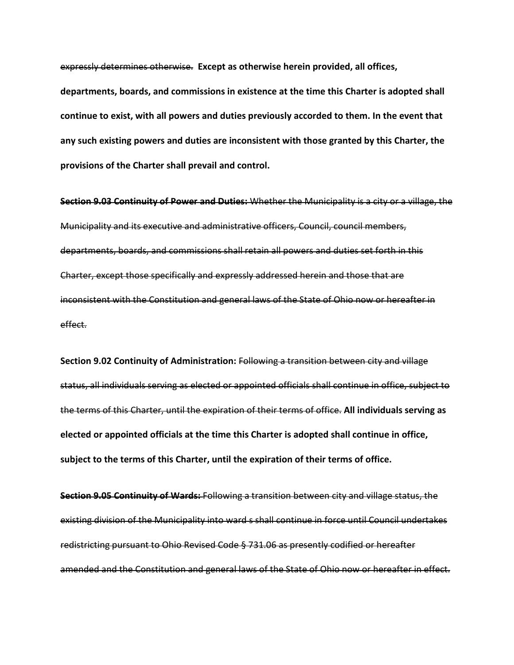expressly determines otherwise. **Except as otherwise herein provided, all offices,** 

**departments, boards, and commissions in existence at the time this Charter is adopted shall continue to exist, with all powers and duties previously accorded to them. In the event that any such existing powers and duties are inconsistent with those granted by this Charter, the provisions of the Charter shall prevail and control.** 

**Section 9.03 Continuity of Power and Duties:** Whether the Municipality is a city or a village, the Municipality and its executive and administrative officers, Council, council members, departments, boards, and commissions shall retain all powers and duties set forth in this Charter, except those specifically and expressly addressed herein and those that are inconsistent with the Constitution and general laws of the State of Ohio now or hereafter in effect.

**Section 9.02 Continuity of Administration:** Following a transition between city and village status, all individuals serving as elected or appointed officials shall continue in office, subject to the terms of this Charter, until the expiration of their terms of office. **All individuals serving as elected or appointed officials at the time this Charter is adopted shall continue in office, subject to the terms of this Charter, until the expiration of their terms of office.** 

**Section 9.05 Continuity of Wards:** Following a transition between city and village status, the existing division of the Municipality into ward s shall continue in force until Council undertakes redistricting pursuant to Ohio Revised Code § 731.06 as presently codified or hereafter amended and the Constitution and general laws of the State of Ohio now or hereafter in effect.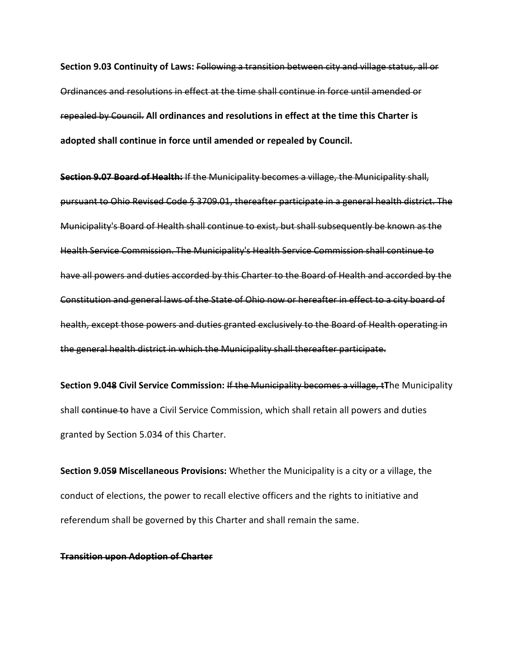**Section 9.03 Continuity of Laws:** Following a transition between city and village status, all or Ordinances and resolutions in effect at the time shall continue in force until amended or repealed by Council. **All ordinances and resolutions in effect at the time this Charter is adopted shall continue in force until amended or repealed by Council.**

**Section 9.07 Board of Health:** If the Municipality becomes a village, the Municipality shall, pursuant to Ohio Revised Code § 3709.01, thereafter participate in a general health district. The Municipality's Board of Health shall continue to exist, but shall subsequently be known as the Health Service Commission. The Municipality's Health Service Commission shall continue to have all powers and duties accorded by this Charter to the Board of Health and accorded by the Constitution and general laws of the State of Ohio now or hereafter in effect to a city board of health, except those powers and duties granted exclusively to the Board of Health operating in the general health district in which the Municipality shall thereafter participate.

**Section 9.048 Civil Service Commission:** If the Municipality becomes a village, t**T**he Municipality shall continue to have a Civil Service Commission, which shall retain all powers and duties granted by Section 5.034 of this Charter.

**Section 9.059 Miscellaneous Provisions:** Whether the Municipality is a city or a village, the conduct of elections, the power to recall elective officers and the rights to initiative and referendum shall be governed by this Charter and shall remain the same.

#### **Transition upon Adoption of Charter**